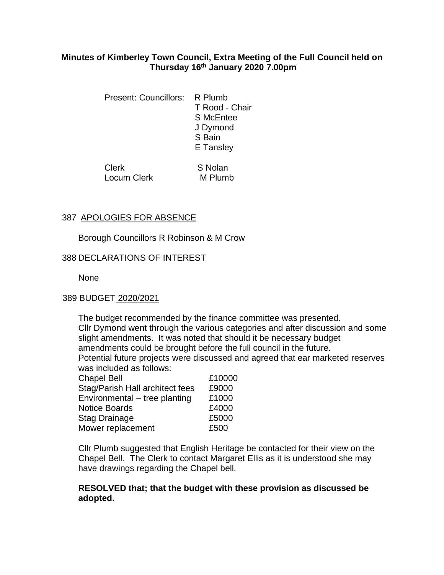# **Minutes of Kimberley Town Council, Extra Meeting of the Full Council held on Thursday 16th January 2020 7.00pm**

Present: Councillors: R Plumb T Rood - Chair S McEntee J Dymond S Bain E Tansley

Clerk S Nolan Locum Clerk M Plumb

# 387 APOLOGIES FOR ABSENCE

Borough Councillors R Robinson & M Crow

Stag Drainage **£5000** Mower replacement 6500

## 388 DECLARATIONS OF INTEREST

None

#### 389 BUDGET 2020/2021

 The budget recommended by the finance committee was presented. Cllr Dymond went through the various categories and after discussion and some slight amendments. It was noted that should it be necessary budget amendments could be brought before the full council in the future. Potential future projects were discussed and agreed that ear marketed reserves was included as follows: Chapel Bell **E10000** Stag/Parish Hall architect fees £9000 Environmental – tree planting  $£1000$ Notice Boards **E4000** 

Cllr Plumb suggested that English Heritage be contacted for their view on the Chapel Bell. The Clerk to contact Margaret Ellis as it is understood she may have drawings regarding the Chapel bell.

## **RESOLVED that; that the budget with these provision as discussed be adopted.**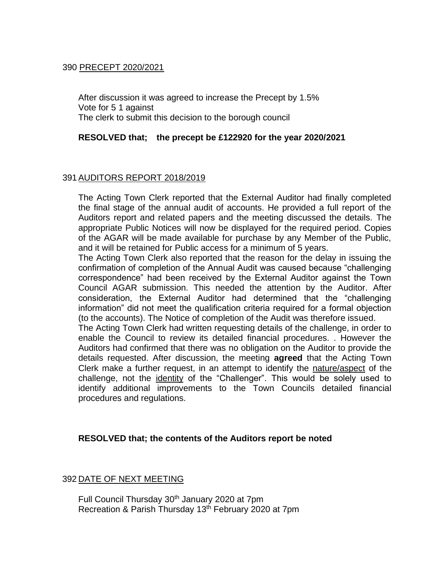# 390 PRECEPT 2020/2021

After discussion it was agreed to increase the Precept by 1.5% Vote for 5 1 against The clerk to submit this decision to the borough council

## **RESOLVED that; the precept be £122920 for the year 2020/2021**

## 391AUDITORS REPORT 2018/2019

The Acting Town Clerk reported that the External Auditor had finally completed the final stage of the annual audit of accounts. He provided a full report of the Auditors report and related papers and the meeting discussed the details. The appropriate Public Notices will now be displayed for the required period. Copies of the AGAR will be made available for purchase by any Member of the Public, and it will be retained for Public access for a minimum of 5 years.

The Acting Town Clerk also reported that the reason for the delay in issuing the confirmation of completion of the Annual Audit was caused because "challenging correspondence" had been received by the External Auditor against the Town Council AGAR submission. This needed the attention by the Auditor. After consideration, the External Auditor had determined that the "challenging information" did not meet the qualification criteria required for a formal objection (to the accounts). The Notice of completion of the Audit was therefore issued.

The Acting Town Clerk had written requesting details of the challenge, in order to enable the Council to review its detailed financial procedures. . However the Auditors had confirmed that there was no obligation on the Auditor to provide the details requested. After discussion, the meeting **agreed** that the Acting Town Clerk make a further request, in an attempt to identify the nature/aspect of the challenge, not the identity of the "Challenger". This would be solely used to identify additional improvements to the Town Councils detailed financial procedures and regulations.

# **RESOLVED that; the contents of the Auditors report be noted**

#### 392 DATE OF NEXT MEETING

Full Council Thursday 30<sup>th</sup> January 2020 at 7pm Recreation & Parish Thursday 13<sup>th</sup> February 2020 at 7pm